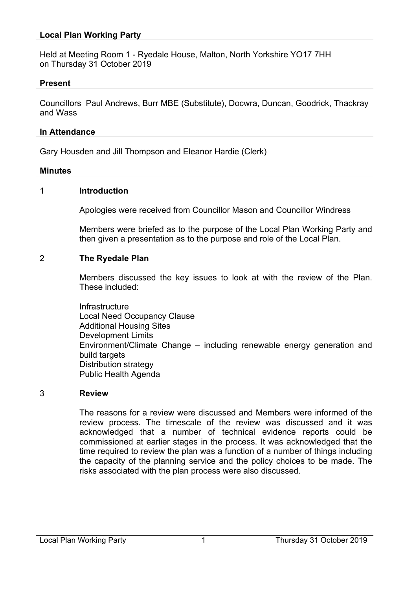# **Local Plan Working Party**

Held at Meeting Room 1 - Ryedale House, Malton, North Yorkshire YO17 7HH on Thursday 31 October 2019

### **Present**

Councillors Paul Andrews, Burr MBE (Substitute), Docwra, Duncan, Goodrick, Thackray and Wass

#### **In Attendance**

Gary Housden and Jill Thompson and Eleanor Hardie (Clerk)

#### **Minutes**

#### 1 **Introduction**

Apologies were received from Councillor Mason and Councillor Windress

Members were briefed as to the purpose of the Local Plan Working Party and then given a presentation as to the purpose and role of the Local Plan.

### 2 **The Ryedale Plan**

Members discussed the key issues to look at with the review of the Plan. These included:

**Infrastructure** Local Need Occupancy Clause Additional Housing Sites Development Limits Environment/Climate Change – including renewable energy generation and build targets Distribution strategy Public Health Agenda

#### 3 **Review**

The reasons for a review were discussed and Members were informed of the review process. The timescale of the review was discussed and it was acknowledged that a number of technical evidence reports could be commissioned at earlier stages in the process. It was acknowledged that the time required to review the plan was a function of a number of things including the capacity of the planning service and the policy choices to be made. The risks associated with the plan process were also discussed.